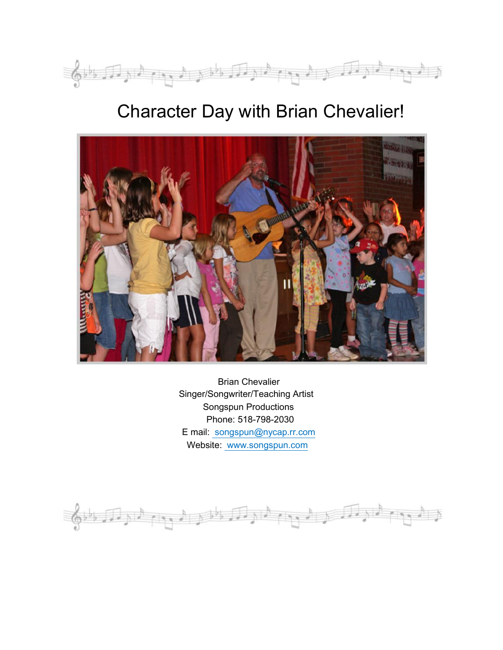

# Character Day with Brian Chevalier!



Brian Chevalier Singer/Songwriter/Teaching Artist Songspun Productions Phone: 518-798-2030 E mail: songspun@nycap.rr.com Website: www.songspun.com

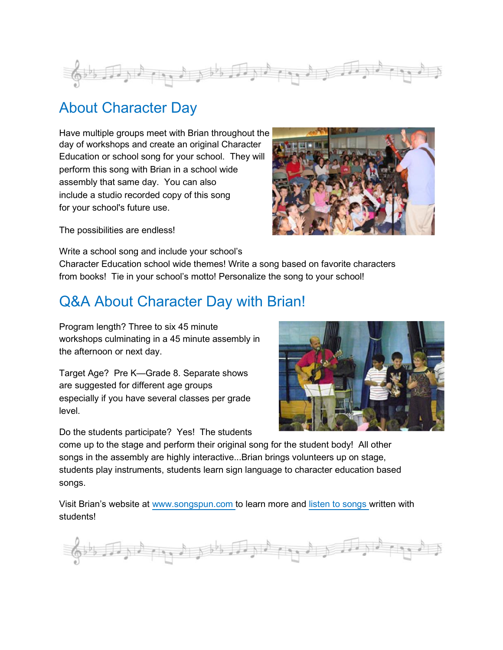

### About Character Day

Have multiple groups meet with Brian throughout the day of workshops and create an original Character Education or school song for your school. They will perform this song with Brian in a school wide assembly that same day. You can also include a studio recorded copy of this song for your school's future use.



The possibilities are endless!

Write a school song and include your school's Character Education school wide themes! Write a song based on favorite characters from books! Tie in your school's motto! Personalize the song to your school!

# Q&A About Character Day with Brian!

Program length? Three to six 45 minute workshops culminating in a 45 minute assembly in the afternoon or next day.

Target Age? Pre K—Grade 8. Separate shows are suggested for different age groups especially if you have several classes per grade level.

Do the students participate? Yes! The students



come up to the stage and perform their original song for the student body! All other songs in the assembly are highly interactive...Brian brings volunteers up on stage, students play instruments, students learn sign language to character education based songs.

Visit Brian's website at www.songspun.com to learn more and listen to songs written with students!

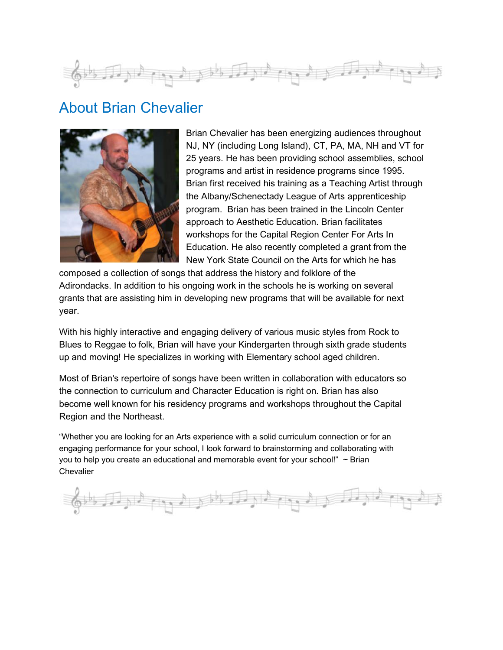

#### About Brian Chevalier



Brian Chevalier has been energizing audiences throughout NJ, NY (including Long Island), CT, PA, MA, NH and VT for 25 years. He has been providing school assemblies, school programs and artist in residence programs since 1995. Brian first received his training as a Teaching Artist through the Albany/Schenectady League of Arts apprenticeship program. Brian has been trained in the Lincoln Center approach to Aesthetic Education. Brian facilitates workshops for the Capital Region Center For Arts In Education. He also recently completed a grant from the New York State Council on the Arts for which he has

composed a collection of songs that address the history and folklore of the Adirondacks. In addition to his ongoing work in the schools he is working on several grants that are assisting him in developing new programs that will be available for next year.

With his highly interactive and engaging delivery of various music styles from Rock to Blues to Reggae to folk, Brian will have your Kindergarten through sixth grade students up and moving! He specializes in working with Elementary school aged children.

Most of Brian's repertoire of songs have been written in collaboration with educators so the connection to curriculum and Character Education is right on. Brian has also become well known for his residency programs and workshops throughout the Capital Region and the Northeast.

"Whether you are looking for an Arts experience with a solid curriculum connection or for an engaging performance for your school, I look forward to brainstorming and collaborating with you to help you create an educational and memorable event for your school!" ~ Brian **Chevalier**